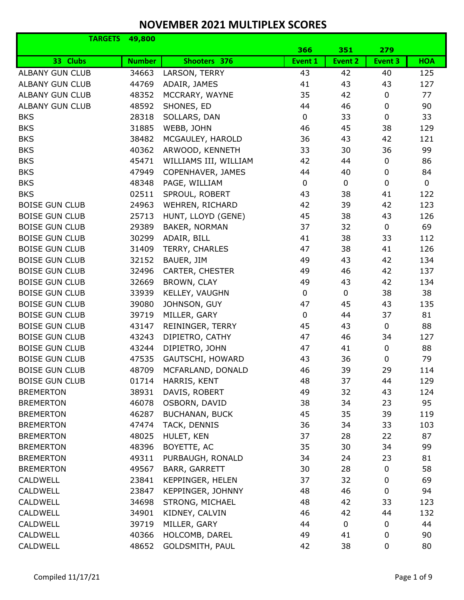| <b>TARGETS</b>         | 49,800        |                       |             |             |                  |              |
|------------------------|---------------|-----------------------|-------------|-------------|------------------|--------------|
|                        |               |                       | 366         | 351         | 279              |              |
| 33 Clubs               | <b>Number</b> | Shooters 376          | Event 1     | Event 2     | Event 3          | <b>HOA</b>   |
| <b>ALBANY GUN CLUB</b> | 34663         | LARSON, TERRY         | 43          | 42          | 40               | 125          |
| <b>ALBANY GUN CLUB</b> | 44769         | ADAIR, JAMES          | 41          | 43          | 43               | 127          |
| <b>ALBANY GUN CLUB</b> | 48352         | MCCRARY, WAYNE        | 35          | 42          | 0                | 77           |
| <b>ALBANY GUN CLUB</b> | 48592         | SHONES, ED            | 44          | 46          | $\mathbf 0$      | 90           |
| <b>BKS</b>             | 28318         | SOLLARS, DAN          | 0           | 33          | $\mathbf 0$      | 33           |
| <b>BKS</b>             | 31885         | WEBB, JOHN            | 46          | 45          | 38               | 129          |
| <b>BKS</b>             | 38482         | MCGAULEY, HAROLD      | 36          | 43          | 42               | 121          |
| <b>BKS</b>             | 40362         | ARWOOD, KENNETH       | 33          | 30          | 36               | 99           |
| <b>BKS</b>             | 45471         | WILLIAMS III, WILLIAM | 42          | 44          | $\mathbf 0$      | 86           |
| <b>BKS</b>             | 47949         | COPENHAVER, JAMES     | 44          | 40          | $\mathbf 0$      | 84           |
| <b>BKS</b>             | 48348         | PAGE, WILLIAM         | 0           | $\pmb{0}$   | $\mathbf 0$      | $\mathsf{O}$ |
| <b>BKS</b>             | 02511         | SPROUL, ROBERT        | 43          | 38          | 41               | 122          |
| <b>BOISE GUN CLUB</b>  | 24963         | WEHREN, RICHARD       | 42          | 39          | 42               | 123          |
| <b>BOISE GUN CLUB</b>  | 25713         | HUNT, LLOYD (GENE)    | 45          | 38          | 43               | 126          |
| <b>BOISE GUN CLUB</b>  | 29389         | BAKER, NORMAN         | 37          | 32          | $\mathbf 0$      | 69           |
| <b>BOISE GUN CLUB</b>  | 30299         | ADAIR, BILL           | 41          | 38          | 33               | 112          |
| <b>BOISE GUN CLUB</b>  | 31409         | TERRY, CHARLES        | 47          | 38          | 41               | 126          |
| <b>BOISE GUN CLUB</b>  | 32152         | BAUER, JIM            | 49          | 43          | 42               | 134          |
| <b>BOISE GUN CLUB</b>  | 32496         | CARTER, CHESTER       | 49          | 46          | 42               | 137          |
| <b>BOISE GUN CLUB</b>  | 32669         | BROWN, CLAY           | 49          | 43          | 42               | 134          |
| <b>BOISE GUN CLUB</b>  | 33939         | KELLEY, VAUGHN        | $\mathbf 0$ | $\mathbf 0$ | 38               | 38           |
| <b>BOISE GUN CLUB</b>  | 39080         | JOHNSON, GUY          | 47          | 45          | 43               | 135          |
| <b>BOISE GUN CLUB</b>  | 39719         | MILLER, GARY          | $\pmb{0}$   | 44          | 37               | 81           |
| <b>BOISE GUN CLUB</b>  | 43147         | REININGER, TERRY      | 45          | 43          | $\mathbf 0$      | 88           |
| <b>BOISE GUN CLUB</b>  | 43243         | DIPIETRO, CATHY       | 47          | 46          | 34               | 127          |
| <b>BOISE GUN CLUB</b>  | 43244         | DIPIETRO, JOHN        | 47          | 41          | $\mathbf 0$      | 88           |
| <b>BOISE GUN CLUB</b>  | 47535         | GAUTSCHI, HOWARD      | 43          | 36          | $\mathbf 0$      | 79           |
| <b>BOISE GUN CLUB</b>  | 48709         | MCFARLAND, DONALD     | 46          | 39          | 29               | 114          |
| <b>BOISE GUN CLUB</b>  | 01714         | HARRIS, KENT          | 48          | 37          | 44               | 129          |
| <b>BREMERTON</b>       | 38931         | DAVIS, ROBERT         | 49          | 32          | 43               | 124          |
| <b>BREMERTON</b>       | 46078         | OSBORN, DAVID         | 38          | 34          | 23               | 95           |
| <b>BREMERTON</b>       | 46287         | <b>BUCHANAN, BUCK</b> | 45          | 35          | 39               | 119          |
| <b>BREMERTON</b>       | 47474         | TACK, DENNIS          | 36          | 34          | 33               | 103          |
| <b>BREMERTON</b>       | 48025         | HULET, KEN            | 37          | 28          | 22               | 87           |
| <b>BREMERTON</b>       | 48396         | BOYETTE, AC           | 35          | 30          | 34               | 99           |
| <b>BREMERTON</b>       | 49311         | PURBAUGH, RONALD      | 34          | 24          | 23               | 81           |
| <b>BREMERTON</b>       | 49567         | BARR, GARRETT         | 30          | 28          | $\pmb{0}$        | 58           |
| <b>CALDWELL</b>        | 23841         | KEPPINGER, HELEN      | 37          | 32          | 0                | 69           |
| <b>CALDWELL</b>        | 23847         | KEPPINGER, JOHNNY     | 48          | 46          | 0                | 94           |
| CALDWELL               | 34698         | STRONG, MICHAEL       | 48          | 42          | 33               | 123          |
| <b>CALDWELL</b>        | 34901         | KIDNEY, CALVIN        | 46          | 42          | 44               | 132          |
| CALDWELL               | 39719         | MILLER, GARY          | 44          | 0           | $\boldsymbol{0}$ | 44           |
| CALDWELL               | 40366         | HOLCOMB, DAREL        | 49          | 41          | 0                | 90           |
| <b>CALDWELL</b>        | 48652         | GOLDSMITH, PAUL       | 42          | 38          | $\boldsymbol{0}$ | 80           |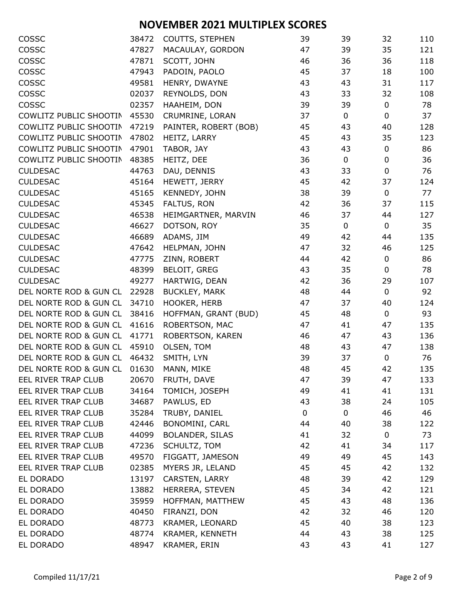| COSSC                  | 38472 | COUTTS, STEPHEN        | 39 | 39          | 32               | 110 |
|------------------------|-------|------------------------|----|-------------|------------------|-----|
| COSSC                  | 47827 | MACAULAY, GORDON       | 47 | 39          | 35               | 121 |
| COSSC                  | 47871 | SCOTT, JOHN            | 46 | 36          | 36               | 118 |
| COSSC                  | 47943 | PADOIN, PAOLO          | 45 | 37          | 18               | 100 |
| COSSC                  | 49581 | HENRY, DWAYNE          | 43 | 43          | 31               | 117 |
| COSSC                  | 02037 | REYNOLDS, DON          | 43 | 33          | 32               | 108 |
| COSSC                  | 02357 | HAAHEIM, DON           | 39 | 39          | $\pmb{0}$        | 78  |
| COWLITZ PUBLIC SHOOTIN | 45530 | CRUMRINE, LORAN        | 37 | $\mathbf 0$ | 0                | 37  |
| COWLITZ PUBLIC SHOOTIN | 47219 | PAINTER, ROBERT (BOB)  | 45 | 43          | 40               | 128 |
| COWLITZ PUBLIC SHOOTIN | 47802 | HEITZ, LARRY           | 45 | 43          | 35               | 123 |
| COWLITZ PUBLIC SHOOTIN | 47901 | TABOR, JAY             | 43 | 43          | $\boldsymbol{0}$ | 86  |
| COWLITZ PUBLIC SHOOTIN | 48385 | HEITZ, DEE             | 36 | 0           | 0                | 36  |
| <b>CULDESAC</b>        | 44763 | DAU, DENNIS            | 43 | 33          | $\mathbf 0$      | 76  |
| <b>CULDESAC</b>        | 45164 | HEWETT, JERRY          | 45 | 42          | 37               | 124 |
| <b>CULDESAC</b>        | 45165 | KENNEDY, JOHN          | 38 | 39          | 0                | 77  |
| <b>CULDESAC</b>        | 45345 | FALTUS, RON            | 42 | 36          | 37               | 115 |
| <b>CULDESAC</b>        | 46538 | HEIMGARTNER, MARVIN    | 46 | 37          | 44               | 127 |
| <b>CULDESAC</b>        | 46627 | DOTSON, ROY            | 35 | $\mathbf 0$ | $\mathbf 0$      | 35  |
| <b>CULDESAC</b>        | 46689 | ADAMS, JIM             | 49 | 42          | 44               | 135 |
| <b>CULDESAC</b>        | 47642 | HELPMAN, JOHN          | 47 | 32          | 46               | 125 |
| <b>CULDESAC</b>        | 47775 | ZINN, ROBERT           | 44 | 42          | $\pmb{0}$        | 86  |
| <b>CULDESAC</b>        | 48399 | <b>BELOIT, GREG</b>    | 43 | 35          | $\mathbf 0$      | 78  |
| <b>CULDESAC</b>        | 49277 | HARTWIG, DEAN          | 42 | 36          | 29               | 107 |
| DEL NORTE ROD & GUN CL | 22928 | <b>BUCKLEY, MARK</b>   | 48 | 44          | 0                | 92  |
| DEL NORTE ROD & GUN CL | 34710 | HOOKER, HERB           | 47 | 37          | 40               | 124 |
| DEL NORTE ROD & GUN CL | 38416 | HOFFMAN, GRANT (BUD)   | 45 | 48          | $\mathbf 0$      | 93  |
| DEL NORTE ROD & GUN CL | 41616 | ROBERTSON, MAC         | 47 | 41          | 47               | 135 |
| DEL NORTE ROD & GUN CL | 41771 | ROBERTSON, KAREN       | 46 | 47          | 43               | 136 |
| DEL NORTE ROD & GUN CL | 45910 | OLSEN, TOM             | 48 | 43          | 47               | 138 |
| DEL NORTE ROD & GUN CL | 46432 | SMITH, LYN             | 39 | 37          | 0                | 76  |
| DEL NORTE ROD & GUN CL | 01630 | MANN, MIKE             | 48 | 45          | 42               | 135 |
| EEL RIVER TRAP CLUB    | 20670 | FRUTH, DAVE            | 47 | 39          | 47               | 133 |
| EEL RIVER TRAP CLUB    | 34164 | TOMICH, JOSEPH         | 49 | 41          | 41               | 131 |
| EEL RIVER TRAP CLUB    | 34687 | PAWLUS, ED             | 43 | 38          | 24               | 105 |
| EEL RIVER TRAP CLUB    | 35284 | TRUBY, DANIEL          | 0  | $\mathbf 0$ | 46               | 46  |
| EEL RIVER TRAP CLUB    | 42446 | BONOMINI, CARL         | 44 | 40          | 38               | 122 |
| EEL RIVER TRAP CLUB    | 44099 | <b>BOLANDER, SILAS</b> | 41 | 32          | 0                | 73  |
| EEL RIVER TRAP CLUB    | 47236 | SCHULTZ, TOM           | 42 | 41          | 34               | 117 |
| EEL RIVER TRAP CLUB    | 49570 | FIGGATT, JAMESON       | 49 | 49          | 45               | 143 |
| EEL RIVER TRAP CLUB    | 02385 | MYERS JR, LELAND       | 45 | 45          | 42               | 132 |
| EL DORADO              | 13197 | CARSTEN, LARRY         | 48 | 39          | 42               | 129 |
| EL DORADO              | 13882 | HERRERA, STEVEN        | 45 | 34          | 42               | 121 |
| EL DORADO              | 35959 | HOFFMAN, MATTHEW       | 45 | 43          | 48               | 136 |
| EL DORADO              | 40450 | FIRANZI, DON           | 42 | 32          | 46               | 120 |
| EL DORADO              | 48773 | KRAMER, LEONARD        | 45 | 40          | 38               | 123 |
| EL DORADO              | 48774 | KRAMER, KENNETH        | 44 | 43          | 38               | 125 |
| EL DORADO              | 48947 | KRAMER, ERIN           | 43 | 43          | 41               | 127 |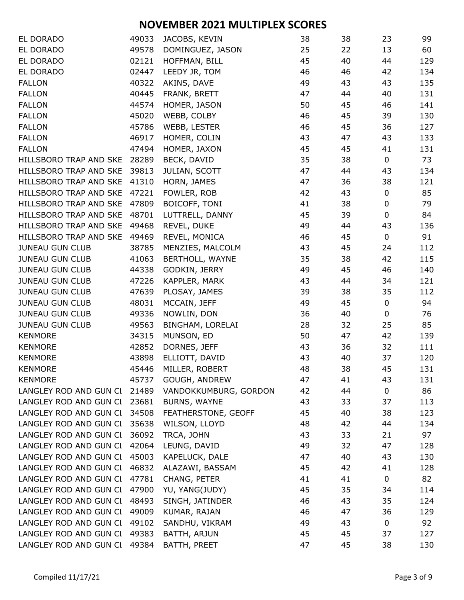| EL DORADO                    | 49033 | JACOBS, KEVIN         | 38 | 38 | 23          | 99  |
|------------------------------|-------|-----------------------|----|----|-------------|-----|
| EL DORADO                    | 49578 | DOMINGUEZ, JASON      | 25 | 22 | 13          | 60  |
| EL DORADO                    | 02121 | HOFFMAN, BILL         | 45 | 40 | 44          | 129 |
| EL DORADO                    | 02447 | LEEDY JR, TOM         | 46 | 46 | 42          | 134 |
| <b>FALLON</b>                | 40322 | AKINS, DAVE           | 49 | 43 | 43          | 135 |
| <b>FALLON</b>                | 40445 | FRANK, BRETT          | 47 | 44 | 40          | 131 |
| <b>FALLON</b>                | 44574 | HOMER, JASON          | 50 | 45 | 46          | 141 |
| <b>FALLON</b>                | 45020 | WEBB, COLBY           | 46 | 45 | 39          | 130 |
| <b>FALLON</b>                | 45786 | WEBB, LESTER          | 46 | 45 | 36          | 127 |
| <b>FALLON</b>                | 46917 | HOMER, COLIN          | 43 | 47 | 43          | 133 |
| <b>FALLON</b>                | 47494 | HOMER, JAXON          | 45 | 45 | 41          | 131 |
| HILLSBORO TRAP AND SKE       | 28289 | BECK, DAVID           | 35 | 38 | $\pmb{0}$   | 73  |
| HILLSBORO TRAP AND SKE       | 39813 | JULIAN, SCOTT         | 47 | 44 | 43          | 134 |
| HILLSBORO TRAP AND SKE       | 41310 | HORN, JAMES           | 47 | 36 | 38          | 121 |
| HILLSBORO TRAP AND SKE       | 47221 | FOWLER, ROB           | 42 | 43 | $\pmb{0}$   | 85  |
| HILLSBORO TRAP AND SKE       | 47809 | BOICOFF, TONI         | 41 | 38 | $\pmb{0}$   | 79  |
| HILLSBORO TRAP AND SKE       | 48701 | LUTTRELL, DANNY       | 45 | 39 | $\pmb{0}$   | 84  |
| HILLSBORO TRAP AND SKE       | 49468 | REVEL, DUKE           | 49 | 44 | 43          | 136 |
| HILLSBORO TRAP AND SKE       | 49469 | REVEL, MONICA         | 46 | 45 | $\pmb{0}$   | 91  |
| <b>JUNEAU GUN CLUB</b>       | 38785 | MENZIES, MALCOLM      | 43 | 45 | 24          | 112 |
| <b>JUNEAU GUN CLUB</b>       | 41063 | BERTHOLL, WAYNE       | 35 | 38 | 42          | 115 |
| <b>JUNEAU GUN CLUB</b>       | 44338 | GODKIN, JERRY         | 49 | 45 | 46          | 140 |
| <b>JUNEAU GUN CLUB</b>       | 47226 | KAPPLER, MARK         | 43 | 44 | 34          | 121 |
| <b>JUNEAU GUN CLUB</b>       | 47639 | PLOSAY, JAMES         | 39 | 38 | 35          | 112 |
| <b>JUNEAU GUN CLUB</b>       | 48031 | MCCAIN, JEFF          | 49 | 45 | $\pmb{0}$   | 94  |
| <b>JUNEAU GUN CLUB</b>       | 49336 | NOWLIN, DON           | 36 | 40 | $\pmb{0}$   | 76  |
| <b>JUNEAU GUN CLUB</b>       | 49563 | BINGHAM, LORELAI      | 28 | 32 | 25          | 85  |
| <b>KENMORE</b>               | 34315 | MUNSON, ED            | 50 | 47 | 42          | 139 |
| <b>KENMORE</b>               | 42852 | DORNES, JEFF          | 43 | 36 | 32          | 111 |
| <b>KENMORE</b>               | 43898 | ELLIOTT, DAVID        | 43 | 40 | 37          | 120 |
| <b>KENMORE</b>               | 45446 | MILLER, ROBERT        | 48 | 38 | 45          | 131 |
| <b>KENMORE</b>               | 45737 | GOUGH, ANDREW         | 47 | 41 | 43          | 131 |
| LANGLEY ROD AND GUN CI       | 21489 | VANDOKKUMBURG, GORDON | 42 | 44 | $\pmb{0}$   | 86  |
| LANGLEY ROD AND GUN CI       | 23681 | <b>BURNS, WAYNE</b>   | 43 | 33 | 37          | 113 |
| LANGLEY ROD AND GUN CI       | 34508 | FEATHERSTONE, GEOFF   | 45 | 40 | 38          | 123 |
| LANGLEY ROD AND GUN CI       | 35638 | WILSON, LLOYD         | 48 | 42 | 44          | 134 |
| LANGLEY ROD AND GUN CI       | 36092 | TRCA, JOHN            | 43 | 33 | 21          | 97  |
| LANGLEY ROD AND GUN CI       | 42064 | LEUNG, DAVID          | 49 | 32 | 47          | 128 |
| LANGLEY ROD AND GUN CI       | 45003 | KAPELUCK, DALE        | 47 | 40 | 43          | 130 |
| LANGLEY ROD AND GUN CI       | 46832 | ALAZAWI, BASSAM       | 45 | 42 | 41          | 128 |
| LANGLEY ROD AND GUN CI       | 47781 | CHANG, PETER          | 41 | 41 | 0           | 82  |
| LANGLEY ROD AND GUN CI       | 47900 | YU, YANG(JUDY)        | 45 | 35 | 34          | 114 |
| LANGLEY ROD AND GUN CI       | 48493 | SINGH, JATINDER       | 46 | 43 | 35          | 124 |
| LANGLEY ROD AND GUN CI       | 49009 | KUMAR, RAJAN          | 46 | 47 | 36          | 129 |
| LANGLEY ROD AND GUN CI       | 49102 | SANDHU, VIKRAM        | 49 | 43 | $\mathbf 0$ | 92  |
| LANGLEY ROD AND GUN CI       | 49383 | BATTH, ARJUN          | 45 | 45 | 37          | 127 |
| LANGLEY ROD AND GUN CL 49384 |       | BATTH, PREET          | 47 | 45 | 38          | 130 |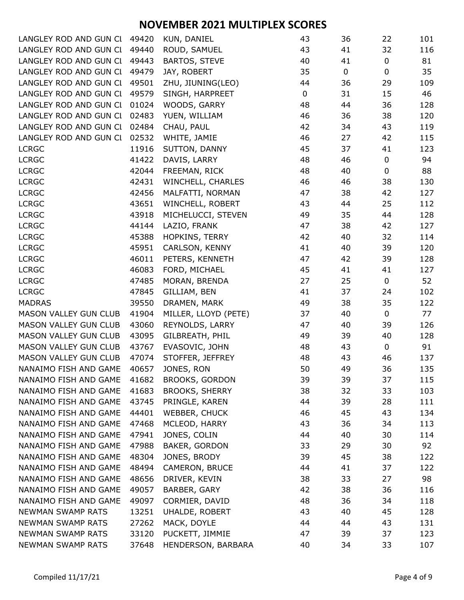| LANGLEY ROD AND GUN CI 49420 |       | KUN, DANIEL           | 43          | 36          | 22               | 101 |
|------------------------------|-------|-----------------------|-------------|-------------|------------------|-----|
| LANGLEY ROD AND GUN CL 49440 |       | ROUD, SAMUEL          | 43          | 41          | 32               | 116 |
| LANGLEY ROD AND GUN CI       | 49443 | <b>BARTOS, STEVE</b>  | 40          | 41          | $\boldsymbol{0}$ | 81  |
| LANGLEY ROD AND GUN CI       | 49479 | JAY, ROBERT           | 35          | $\mathbf 0$ | $\mathbf 0$      | 35  |
| LANGLEY ROD AND GUN CI       | 49501 | ZHU, JIUNING(LEO)     | 44          | 36          | 29               | 109 |
| LANGLEY ROD AND GUN CI       | 49579 | SINGH, HARPREET       | $\mathbf 0$ | 31          | 15               | 46  |
| LANGLEY ROD AND GUN CI       | 01024 | WOODS, GARRY          | 48          | 44          | 36               | 128 |
| LANGLEY ROD AND GUN CI       | 02483 | YUEN, WILLIAM         | 46          | 36          | 38               | 120 |
| LANGLEY ROD AND GUN CI       | 02484 | CHAU, PAUL            | 42          | 34          | 43               | 119 |
| LANGLEY ROD AND GUN CI       | 02532 | WHITE, JAMIE          | 46          | 27          | 42               | 115 |
| <b>LCRGC</b>                 | 11916 | SUTTON, DANNY         | 45          | 37          | 41               | 123 |
| <b>LCRGC</b>                 | 41422 | DAVIS, LARRY          | 48          | 46          | $\pmb{0}$        | 94  |
| <b>LCRGC</b>                 | 42044 | FREEMAN, RICK         | 48          | 40          | $\mathbf 0$      | 88  |
| <b>LCRGC</b>                 | 42431 | WINCHELL, CHARLES     | 46          | 46          | 38               | 130 |
| <b>LCRGC</b>                 | 42456 | MALFATTI, NORMAN      | 47          | 38          | 42               | 127 |
| <b>LCRGC</b>                 | 43651 | WINCHELL, ROBERT      | 43          | 44          | 25               | 112 |
| <b>LCRGC</b>                 | 43918 | MICHELUCCI, STEVEN    | 49          | 35          | 44               | 128 |
| <b>LCRGC</b>                 | 44144 | LAZIO, FRANK          | 47          | 38          | 42               | 127 |
| <b>LCRGC</b>                 | 45388 | HOPKINS, TERRY        | 42          | 40          | 32               | 114 |
| <b>LCRGC</b>                 | 45951 | CARLSON, KENNY        | 41          | 40          | 39               | 120 |
| <b>LCRGC</b>                 | 46011 | PETERS, KENNETH       | 47          | 42          | 39               | 128 |
| <b>LCRGC</b>                 | 46083 | FORD, MICHAEL         | 45          | 41          | 41               | 127 |
| <b>LCRGC</b>                 | 47485 | MORAN, BRENDA         | 27          | 25          | $\mathbf 0$      | 52  |
| <b>LCRGC</b>                 | 47845 | GILLIAM, BEN          | 41          | 37          | 24               | 102 |
| <b>MADRAS</b>                | 39550 | DRAMEN, MARK          | 49          | 38          | 35               | 122 |
| MASON VALLEY GUN CLUB        | 41904 | MILLER, LLOYD (PETE)  | 37          | 40          | $\mathbf 0$      | 77  |
| <b>MASON VALLEY GUN CLUB</b> | 43060 | REYNOLDS, LARRY       | 47          | 40          | 39               | 126 |
| MASON VALLEY GUN CLUB        | 43095 | GILBREATH, PHIL       | 49          | 39          | 40               | 128 |
| MASON VALLEY GUN CLUB        | 43767 | EVASOVIC, JOHN        | 48          | 43          | 0                | 91  |
| MASON VALLEY GUN CLUB        | 47074 | STOFFER, JEFFREY      | 48          | 43          | 46               | 137 |
| NANAIMO FISH AND GAME        | 40657 | JONES, RON            | 50          | 49          | 36               | 135 |
| NANAIMO FISH AND GAME        | 41682 | <b>BROOKS, GORDON</b> | 39          | 39          | 37               | 115 |
| NANAIMO FISH AND GAME        | 41683 | <b>BROOKS, SHERRY</b> | 38          | 32          | 33               | 103 |
| NANAIMO FISH AND GAME        | 43745 | PRINGLE, KAREN        | 44          | 39          | 28               | 111 |
| NANAIMO FISH AND GAME        | 44401 | WEBBER, CHUCK         | 46          | 45          | 43               | 134 |
| NANAIMO FISH AND GAME        | 47468 | MCLEOD, HARRY         | 43          | 36          | 34               | 113 |
| NANAIMO FISH AND GAME        | 47941 | JONES, COLIN          | 44          | 40          | 30               | 114 |
| NANAIMO FISH AND GAME        | 47988 | BAKER, GORDON         | 33          | 29          | 30               | 92  |
| NANAIMO FISH AND GAME        | 48304 | JONES, BRODY          | 39          | 45          | 38               | 122 |
| NANAIMO FISH AND GAME        | 48494 | CAMERON, BRUCE        | 44          | 41          | 37               | 122 |
| NANAIMO FISH AND GAME        | 48656 | DRIVER, KEVIN         | 38          | 33          | 27               | 98  |
| NANAIMO FISH AND GAME        | 49057 | BARBER, GARY          | 42          | 38          | 36               | 116 |
| NANAIMO FISH AND GAME        | 49097 | CORMIER, DAVID        | 48          | 36          | 34               | 118 |
| <b>NEWMAN SWAMP RATS</b>     | 13251 | UHALDE, ROBERT        | 43          | 40          | 45               | 128 |
| <b>NEWMAN SWAMP RATS</b>     | 27262 | MACK, DOYLE           | 44          | 44          | 43               | 131 |
| <b>NEWMAN SWAMP RATS</b>     | 33120 | PUCKETT, JIMMIE       | 47          | 39          | 37               | 123 |
| NEWMAN SWAMP RATS            | 37648 | HENDERSON, BARBARA    | 40          | 34          | 33               | 107 |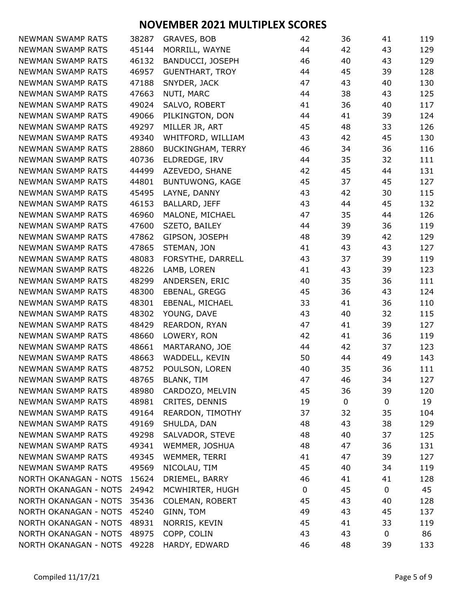| NEWMAN SWAMP RATS           | 38287 | GRAVES, BOB              | 42          | 36          | 41 | 119 |
|-----------------------------|-------|--------------------------|-------------|-------------|----|-----|
| NEWMAN SWAMP RATS           | 45144 | MORRILL, WAYNE           | 44          | 42          | 43 | 129 |
| NEWMAN SWAMP RATS           | 46132 | BANDUCCI, JOSEPH         | 46          | 40          | 43 | 129 |
| NEWMAN SWAMP RATS           | 46957 | <b>GUENTHART, TROY</b>   | 44          | 45          | 39 | 128 |
| NEWMAN SWAMP RATS           | 47188 | SNYDER, JACK             | 47          | 43          | 40 | 130 |
| NEWMAN SWAMP RATS           | 47663 | NUTI, MARC               | 44          | 38          | 43 | 125 |
| NEWMAN SWAMP RATS           | 49024 | SALVO, ROBERT            | 41          | 36          | 40 | 117 |
| <b>NEWMAN SWAMP RATS</b>    | 49066 | PILKINGTON, DON          | 44          | 41          | 39 | 124 |
| NEWMAN SWAMP RATS           | 49297 | MILLER JR, ART           | 45          | 48          | 33 | 126 |
| NEWMAN SWAMP RATS           | 49340 | WHITFORD, WILLIAM        | 43          | 42          | 45 | 130 |
| NEWMAN SWAMP RATS           | 28860 | <b>BUCKINGHAM, TERRY</b> | 46          | 34          | 36 | 116 |
| NEWMAN SWAMP RATS           | 40736 | ELDREDGE, IRV            | 44          | 35          | 32 | 111 |
| NEWMAN SWAMP RATS           | 44499 | AZEVEDO, SHANE           | 42          | 45          | 44 | 131 |
| NEWMAN SWAMP RATS           | 44801 | BUNTUWONG, KAGE          | 45          | 37          | 45 | 127 |
| NEWMAN SWAMP RATS           | 45495 | LAYNE, DANNY             | 43          | 42          | 30 | 115 |
| NEWMAN SWAMP RATS           | 46153 | BALLARD, JEFF            | 43          | 44          | 45 | 132 |
| NEWMAN SWAMP RATS           | 46960 | MALONE, MICHAEL          | 47          | 35          | 44 | 126 |
| NEWMAN SWAMP RATS           | 47600 | SZETO, BAILEY            | 44          | 39          | 36 | 119 |
| <b>NEWMAN SWAMP RATS</b>    | 47862 | GIPSON, JOSEPH           | 48          | 39          | 42 | 129 |
| NEWMAN SWAMP RATS           | 47865 | STEMAN, JON              | 41          | 43          | 43 | 127 |
| NEWMAN SWAMP RATS           | 48083 | FORSYTHE, DARRELL        | 43          | 37          | 39 | 119 |
| NEWMAN SWAMP RATS           | 48226 | LAMB, LOREN              | 41          | 43          | 39 | 123 |
| NEWMAN SWAMP RATS           | 48299 | ANDERSEN, ERIC           | 40          | 35          | 36 | 111 |
| NEWMAN SWAMP RATS           | 48300 | EBENAL, GREGG            | 45          | 36          | 43 | 124 |
| NEWMAN SWAMP RATS           | 48301 | EBENAL, MICHAEL          | 33          | 41          | 36 | 110 |
| NEWMAN SWAMP RATS           | 48302 | YOUNG, DAVE              | 43          | 40          | 32 | 115 |
| <b>NEWMAN SWAMP RATS</b>    | 48429 | REARDON, RYAN            | 47          | 41          | 39 | 127 |
| NEWMAN SWAMP RATS           | 48660 | LOWERY, RON              | 42          | 41          | 36 | 119 |
| NEWMAN SWAMP RATS           | 48661 | MARTARANO, JOE           | 44          | 42          | 37 | 123 |
| NEWMAN SWAMP RATS           | 48663 | WADDELL, KEVIN           | 50          | 44          | 49 | 143 |
| NEWMAN SWAMP RATS           | 48752 | POULSON, LOREN           | 40          | 35          | 36 | 111 |
| NEWMAN SWAMP RATS           | 48765 | <b>BLANK, TIM</b>        | 47          | 46          | 34 | 127 |
| NEWMAN SWAMP RATS           | 48980 | CARDOZO, MELVIN          | 45          | 36          | 39 | 120 |
| NEWMAN SWAMP RATS           | 48981 | CRITES, DENNIS           | 19          | $\mathbf 0$ | 0  | 19  |
| NEWMAN SWAMP RATS           | 49164 | REARDON, TIMOTHY         | 37          | 32          | 35 | 104 |
| NEWMAN SWAMP RATS           | 49169 | SHULDA, DAN              | 48          | 43          | 38 | 129 |
| NEWMAN SWAMP RATS           | 49298 | SALVADOR, STEVE          | 48          | 40          | 37 | 125 |
| NEWMAN SWAMP RATS           | 49341 | WEMMER, JOSHUA           | 48          | 47          | 36 | 131 |
| NEWMAN SWAMP RATS           | 49345 | WEMMER, TERRI            | 41          | 47          | 39 | 127 |
| NEWMAN SWAMP RATS           | 49569 | NICOLAU, TIM             | 45          | 40          | 34 | 119 |
| NORTH OKANAGAN - NOTS       | 15624 | DRIEMEL, BARRY           | 46          | 41          | 41 | 128 |
| NORTH OKANAGAN - NOTS       | 24942 | MCWHIRTER, HUGH          | $\mathbf 0$ | 45          | 0  | 45  |
| NORTH OKANAGAN - NOTS       | 35436 | <b>COLEMAN, ROBERT</b>   | 45          | 43          | 40 | 128 |
| NORTH OKANAGAN - NOTS       | 45240 | GINN, TOM                | 49          | 43          | 45 | 137 |
| NORTH OKANAGAN - NOTS       | 48931 | NORRIS, KEVIN            | 45          | 41          | 33 | 119 |
| NORTH OKANAGAN - NOTS       | 48975 | COPP, COLIN              | 43          | 43          | 0  | 86  |
| NORTH OKANAGAN - NOTS 49228 |       | HARDY, EDWARD            | 46          | 48          | 39 | 133 |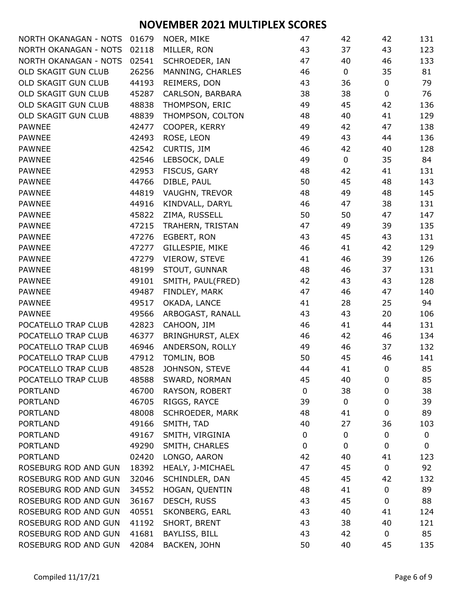| NORTH OKANAGAN - NOTS | 01679 | NOER, MIKE            | 47 | 42             | 42               | 131 |
|-----------------------|-------|-----------------------|----|----------------|------------------|-----|
| NORTH OKANAGAN - NOTS | 02118 | MILLER, RON           | 43 | 37             | 43               | 123 |
| NORTH OKANAGAN - NOTS | 02541 | SCHROEDER, IAN        | 47 | 40             | 46               | 133 |
| OLD SKAGIT GUN CLUB   | 26256 | MANNING, CHARLES      | 46 | $\mathbf 0$    | 35               | 81  |
| OLD SKAGIT GUN CLUB   | 44193 | REIMERS, DON          | 43 | 36             | $\pmb{0}$        | 79  |
| OLD SKAGIT GUN CLUB   | 45287 | CARLSON, BARBARA      | 38 | 38             | $\mathbf 0$      | 76  |
| OLD SKAGIT GUN CLUB   | 48838 | THOMPSON, ERIC        | 49 | 45             | 42               | 136 |
| OLD SKAGIT GUN CLUB   | 48839 | THOMPSON, COLTON      | 48 | 40             | 41               | 129 |
| <b>PAWNEE</b>         | 42477 | COOPER, KERRY         | 49 | 42             | 47               | 138 |
| <b>PAWNEE</b>         | 42493 | ROSE, LEON            | 49 | 43             | 44               | 136 |
| <b>PAWNEE</b>         | 42542 | CURTIS, JIM           | 46 | 42             | 40               | 128 |
| PAWNEE                | 42546 | LEBSOCK, DALE         | 49 | $\overline{0}$ | 35               | 84  |
| <b>PAWNEE</b>         | 42953 | FISCUS, GARY          | 48 | 42             | 41               | 131 |
| PAWNEE                | 44766 | DIBLE, PAUL           | 50 | 45             | 48               | 143 |
| <b>PAWNEE</b>         | 44819 | VAUGHN, TREVOR        | 48 | 49             | 48               | 145 |
| <b>PAWNEE</b>         | 44916 | KINDVALL, DARYL       | 46 | 47             | 38               | 131 |
| <b>PAWNEE</b>         | 45822 | ZIMA, RUSSELL         | 50 | 50             | 47               | 147 |
| <b>PAWNEE</b>         | 47215 | TRAHERN, TRISTAN      | 47 | 49             | 39               | 135 |
| <b>PAWNEE</b>         | 47276 | EGBERT, RON           | 43 | 45             | 43               | 131 |
| <b>PAWNEE</b>         | 47277 | GILLESPIE, MIKE       | 46 | 41             | 42               | 129 |
| <b>PAWNEE</b>         | 47279 | VIEROW, STEVE         | 41 | 46             | 39               | 126 |
| <b>PAWNEE</b>         | 48199 | STOUT, GUNNAR         | 48 | 46             | 37               | 131 |
| <b>PAWNEE</b>         | 49101 | SMITH, PAUL(FRED)     | 42 | 43             | 43               | 128 |
| <b>PAWNEE</b>         | 49487 | FINDLEY, MARK         | 47 | 46             | 47               | 140 |
| <b>PAWNEE</b>         | 49517 | OKADA, LANCE          | 41 | 28             | 25               | 94  |
| PAWNEE                | 49566 | ARBOGAST, RANALL      | 43 | 43             | 20               | 106 |
| POCATELLO TRAP CLUB   | 42823 | CAHOON, JIM           | 46 | 41             | 44               | 131 |
| POCATELLO TRAP CLUB   | 46377 | BRINGHURST, ALEX      | 46 | 42             | 46               | 134 |
| POCATELLO TRAP CLUB   | 46946 | ANDERSON, ROLLY       | 49 | 46             | 37               | 132 |
| POCATELLO TRAP CLUB   | 47912 | TOMLIN, BOB           | 50 | 45             | 46               | 141 |
| POCATELLO TRAP CLUB   | 48528 | JOHNSON, STEVE        | 44 | 41             | $\pmb{0}$        | 85  |
| POCATELLO TRAP CLUB   | 48588 | SWARD, NORMAN         | 45 | 40             | 0                | 85  |
| <b>PORTLAND</b>       | 46700 | RAYSON, ROBERT        | 0  | 38             | 0                | 38  |
| <b>PORTLAND</b>       | 46705 | RIGGS, RAYCE          | 39 | 0              | 0                | 39  |
| <b>PORTLAND</b>       | 48008 | SCHROEDER, MARK       | 48 | 41             | 0                | 89  |
| <b>PORTLAND</b>       | 49166 | SMITH, TAD            | 40 | 27             | 36               | 103 |
| <b>PORTLAND</b>       | 49167 | SMITH, VIRGINIA       | 0  | 0              | $\boldsymbol{0}$ | 0   |
| <b>PORTLAND</b>       | 49290 | SMITH, CHARLES        | 0  | 0              | $\mathbf 0$      | 0   |
| <b>PORTLAND</b>       | 02420 | LONGO, AARON          | 42 | 40             | 41               | 123 |
| ROSEBURG ROD AND GUN  | 18392 | HEALY, J-MICHAEL      | 47 | 45             | 0                | 92  |
| ROSEBURG ROD AND GUN  | 32046 | SCHINDLER, DAN        | 45 | 45             | 42               | 132 |
| ROSEBURG ROD AND GUN  | 34552 | HOGAN, QUENTIN        | 48 | 41             | $\boldsymbol{0}$ | 89  |
| ROSEBURG ROD AND GUN  | 36167 | DESCH, RUSS           | 43 | 45             | 0                | 88  |
| ROSEBURG ROD AND GUN  | 40551 | <b>SKONBERG, EARL</b> | 43 | 40             | 41               | 124 |
| ROSEBURG ROD AND GUN  | 41192 | SHORT, BRENT          | 43 | 38             | 40               | 121 |
| ROSEBURG ROD AND GUN  | 41681 | BAYLISS, BILL         | 43 | 42             | 0                | 85  |
| ROSEBURG ROD AND GUN  | 42084 | BACKEN, JOHN          | 50 | 40             | 45               | 135 |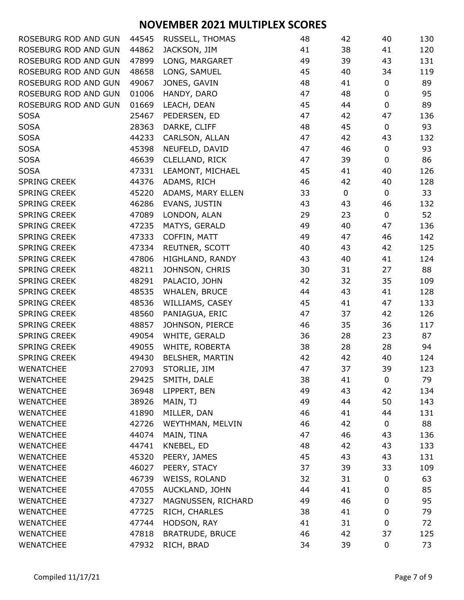| ROSEBURG ROD AND GUN | 44545 | RUSSELL, THOMAS        | 48 | 42          | 40          | 130 |
|----------------------|-------|------------------------|----|-------------|-------------|-----|
| ROSEBURG ROD AND GUN | 44862 | JACKSON, JIM           | 41 | 38          | 41          | 120 |
| ROSEBURG ROD AND GUN | 47899 | LONG, MARGARET         | 49 | 39          | 43          | 131 |
| ROSEBURG ROD AND GUN | 48658 | LONG, SAMUEL           | 45 | 40          | 34          | 119 |
| ROSEBURG ROD AND GUN | 49067 | JONES, GAVIN           | 48 | 41          | 0           | 89  |
| ROSEBURG ROD AND GUN | 01006 | HANDY, DARO            | 47 | 48          | 0           | 95  |
| ROSEBURG ROD AND GUN | 01669 | LEACH, DEAN            | 45 | 44          | $\pmb{0}$   | 89  |
| <b>SOSA</b>          | 25467 | PEDERSEN, ED           | 47 | 42          | 47          | 136 |
| <b>SOSA</b>          | 28363 | DARKE, CLIFF           | 48 | 45          | $\pmb{0}$   | 93  |
| <b>SOSA</b>          | 44233 | CARLSON, ALLAN         | 47 | 42          | 43          | 132 |
| <b>SOSA</b>          | 45398 | NEUFELD, DAVID         | 47 | 46          | $\pmb{0}$   | 93  |
| <b>SOSA</b>          | 46639 | CLELLAND, RICK         | 47 | 39          | 0           | 86  |
| <b>SOSA</b>          | 47331 | LEAMONT, MICHAEL       | 45 | 41          | 40          | 126 |
| <b>SPRING CREEK</b>  | 44376 | ADAMS, RICH            | 46 | 42          | 40          | 128 |
| <b>SPRING CREEK</b>  | 45220 | ADAMS, MARY ELLEN      | 33 | $\mathbf 0$ | $\mathbf 0$ | 33  |
| <b>SPRING CREEK</b>  | 46286 | EVANS, JUSTIN          | 43 | 43          | 46          | 132 |
| <b>SPRING CREEK</b>  | 47089 | LONDON, ALAN           | 29 | 23          | 0           | 52  |
| <b>SPRING CREEK</b>  | 47235 | MATYS, GERALD          | 49 | 40          | 47          | 136 |
| <b>SPRING CREEK</b>  | 47333 | COFFIN, MATT           | 49 | 47          | 46          | 142 |
| <b>SPRING CREEK</b>  | 47334 | REUTNER, SCOTT         | 40 | 43          | 42          | 125 |
| <b>SPRING CREEK</b>  | 47806 | HIGHLAND, RANDY        | 43 | 40          | 41          | 124 |
| <b>SPRING CREEK</b>  | 48211 | JOHNSON, CHRIS         | 30 | 31          | 27          | 88  |
| <b>SPRING CREEK</b>  | 48291 | PALACIO, JOHN          | 42 | 32          | 35          | 109 |
| <b>SPRING CREEK</b>  | 48535 | WHALEN, BRUCE          | 44 | 43          | 41          | 128 |
| <b>SPRING CREEK</b>  | 48536 | WILLIAMS, CASEY        | 45 | 41          | 47          | 133 |
| <b>SPRING CREEK</b>  | 48560 | PANIAGUA, ERIC         | 47 | 37          | 42          | 126 |
| <b>SPRING CREEK</b>  | 48857 | JOHNSON, PIERCE        | 46 | 35          | 36          | 117 |
| <b>SPRING CREEK</b>  | 49054 | WHITE, GERALD          | 36 | 28          | 23          | 87  |
| <b>SPRING CREEK</b>  | 49055 | WHITE, ROBERTA         | 38 | 28          | 28          | 94  |
| <b>SPRING CREEK</b>  | 49430 | BELSHER, MARTIN        | 42 | 42          | 40          | 124 |
| <b>WENATCHEE</b>     | 27093 | STORLIE, JIM           | 47 | 37          | 39          | 123 |
| <b>WENATCHEE</b>     | 29425 | SMITH, DALE            | 38 | 41          | 0           | 79  |
| <b>WENATCHEE</b>     | 36948 | LIPPERT, BEN           | 49 | 43          | 42          | 134 |
| <b>WENATCHEE</b>     | 38926 | MAIN, TJ               | 49 | 44          | 50          | 143 |
| <b>WENATCHEE</b>     | 41890 | MILLER, DAN            | 46 | 41          | 44          | 131 |
| <b>WENATCHEE</b>     | 42726 | WEYTHMAN, MELVIN       | 46 | 42          | 0           | 88  |
| <b>WENATCHEE</b>     | 44074 | MAIN, TINA             | 47 | 46          | 43          | 136 |
| <b>WENATCHEE</b>     | 44741 | KNEBEL, ED             | 48 | 42          | 43          | 133 |
| <b>WENATCHEE</b>     | 45320 | PEERY, JAMES           | 45 | 43          | 43          | 131 |
| <b>WENATCHEE</b>     | 46027 | PEERY, STACY           | 37 | 39          | 33          | 109 |
| <b>WENATCHEE</b>     | 46739 | WEISS, ROLAND          | 32 | 31          | 0           | 63  |
| <b>WENATCHEE</b>     | 47055 | AUCKLAND, JOHN         | 44 | 41          | 0           | 85  |
| <b>WENATCHEE</b>     | 47327 | MAGNUSSEN, RICHARD     | 49 | 46          | 0           | 95  |
| <b>WENATCHEE</b>     | 47725 | RICH, CHARLES          | 38 | 41          | 0           | 79  |
| <b>WENATCHEE</b>     | 47744 | HODSON, RAY            | 41 | 31          | $\pmb{0}$   | 72  |
| <b>WENATCHEE</b>     | 47818 | <b>BRATRUDE, BRUCE</b> | 46 | 42          | 37          | 125 |
| <b>WENATCHEE</b>     | 47932 | RICH, BRAD             | 34 | 39          | $\pmb{0}$   | 73  |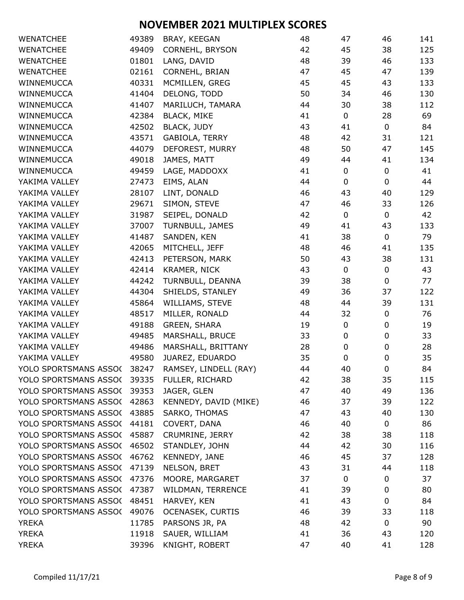| <b>WENATCHEE</b>            | 49389 | BRAY, KEEGAN            | 48 | 47          | 46               | 141 |
|-----------------------------|-------|-------------------------|----|-------------|------------------|-----|
| <b>WENATCHEE</b>            | 49409 | CORNEHL, BRYSON         | 42 | 45          | 38               | 125 |
| <b>WENATCHEE</b>            | 01801 | LANG, DAVID             | 48 | 39          | 46               | 133 |
| <b>WENATCHEE</b>            | 02161 | CORNEHL, BRIAN          | 47 | 45          | 47               | 139 |
| WINNEMUCCA                  | 40331 | MCMILLEN, GREG          | 45 | 45          | 43               | 133 |
| WINNEMUCCA                  | 41404 | DELONG, TODD            | 50 | 34          | 46               | 130 |
| WINNEMUCCA                  | 41407 | MARILUCH, TAMARA        | 44 | 30          | 38               | 112 |
| WINNEMUCCA                  | 42384 | <b>BLACK, MIKE</b>      | 41 | $\mathbf 0$ | 28               | 69  |
| WINNEMUCCA                  | 42502 | <b>BLACK, JUDY</b>      | 43 | 41          | $\mathbf 0$      | 84  |
| WINNEMUCCA                  | 43571 | GABIOLA, TERRY          | 48 | 42          | 31               | 121 |
| WINNEMUCCA                  | 44079 | DEFOREST, MURRY         | 48 | 50          | 47               | 145 |
| WINNEMUCCA                  | 49018 | JAMES, MATT             | 49 | 44          | 41               | 134 |
| WINNEMUCCA                  | 49459 | LAGE, MADDOXX           | 41 | 0           | $\pmb{0}$        | 41  |
| YAKIMA VALLEY               | 27473 | EIMS, ALAN              | 44 | $\mathbf 0$ | 0                | 44  |
| YAKIMA VALLEY               | 28107 | LINT, DONALD            | 46 | 43          | 40               | 129 |
| YAKIMA VALLEY               | 29671 | SIMON, STEVE            | 47 | 46          | 33               | 126 |
| YAKIMA VALLEY               | 31987 | SEIPEL, DONALD          | 42 | 0           | 0                | 42  |
| YAKIMA VALLEY               | 37007 | TURNBULL, JAMES         | 49 | 41          | 43               | 133 |
| YAKIMA VALLEY               | 41487 | SANDEN, KEN             | 41 | 38          | $\pmb{0}$        | 79  |
| YAKIMA VALLEY               | 42065 | MITCHELL, JEFF          | 48 | 46          | 41               | 135 |
| YAKIMA VALLEY               | 42413 | PETERSON, MARK          | 50 | 43          | 38               | 131 |
| YAKIMA VALLEY               | 42414 | KRAMER, NICK            | 43 | 0           | 0                | 43  |
| YAKIMA VALLEY               | 44242 | TURNBULL, DEANNA        | 39 | 38          | 0                | 77  |
| YAKIMA VALLEY               | 44304 | SHIELDS, STANLEY        | 49 | 36          | 37               | 122 |
| YAKIMA VALLEY               | 45864 | WILLIAMS, STEVE         | 48 | 44          | 39               | 131 |
| YAKIMA VALLEY               | 48517 | MILLER, RONALD          | 44 | 32          | $\pmb{0}$        | 76  |
| YAKIMA VALLEY               | 49188 | <b>GREEN, SHARA</b>     | 19 | $\pmb{0}$   | 0                | 19  |
| YAKIMA VALLEY               | 49485 | MARSHALL, BRUCE         | 33 | $\pmb{0}$   | 0                | 33  |
| YAKIMA VALLEY               | 49486 | MARSHALL, BRITTANY      | 28 | 0           | 0                | 28  |
| YAKIMA VALLEY               | 49580 | JUAREZ, EDUARDO         | 35 | $\mathbf 0$ | $\boldsymbol{0}$ | 35  |
| YOLO SPORTSMANS ASSO(       | 38247 | RAMSEY, LINDELL (RAY)   | 44 | 40          | $\boldsymbol{0}$ | 84  |
| YOLO SPORTSMANS ASSO(39335  |       | FULLER, RICHARD         | 42 | 38          | 35               | 115 |
| YOLO SPORTSMANS ASSO(39353  |       | JAGER, GLEN             | 47 | 40          | 49               | 136 |
| YOLO SPORTSMANS ASSO(       | 42863 | KENNEDY, DAVID (MIKE)   | 46 | 37          | 39               | 122 |
| YOLO SPORTSMANS ASSO(       | 43885 | SARKO, THOMAS           | 47 | 43          | 40               | 130 |
| YOLO SPORTSMANS ASSO(       | 44181 | COVERT, DANA            | 46 | 40          | 0                | 86  |
| YOLO SPORTSMANS ASSO(       | 45887 | CRUMRINE, JERRY         | 42 | 38          | 38               | 118 |
| YOLO SPORTSMANS ASSO( 46502 |       | STANDLEY, JOHN          | 44 | 42          | 30               | 116 |
|                             |       |                         |    |             |                  |     |
| YOLO SPORTSMANS ASSO(       | 46762 | KENNEDY, JANE           | 46 | 45          | 37               | 128 |
| YOLO SPORTSMANS ASSO(       | 47139 | NELSON, BRET            | 43 | 31          | 44               | 118 |
| YOLO SPORTSMANS ASSO(       | 47376 | MOORE, MARGARET         | 37 | 0           | 0                | 37  |
| YOLO SPORTSMANS ASSO(       | 47387 | WILDMAN, TERRENCE       | 41 | 39          | 0                | 80  |
| YOLO SPORTSMANS ASSO(       | 48451 | HARVEY, KEN             | 41 | 43          | 0                | 84  |
| YOLO SPORTSMANS ASSO(       | 49076 | <b>OCENASEK, CURTIS</b> | 46 | 39          | 33               | 118 |
| <b>YREKA</b>                | 11785 | PARSONS JR, PA          | 48 | 42          | 0                | 90  |
| <b>YREKA</b>                | 11918 | SAUER, WILLIAM          | 41 | 36          | 43               | 120 |
| <b>YREKA</b>                | 39396 | KNIGHT, ROBERT          | 47 | 40          | 41               | 128 |